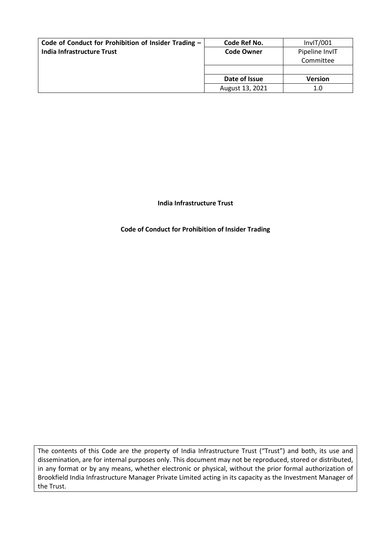| Code of Conduct for Prohibition of Insider Trading - | Code Ref No.      | InvIT/001      |
|------------------------------------------------------|-------------------|----------------|
| India Infrastructure Trust                           | <b>Code Owner</b> | Pipeline InvIT |
|                                                      |                   | Committee      |
|                                                      |                   |                |
|                                                      | Date of Issue     | <b>Version</b> |
|                                                      | August 13, 2021   | 1.0            |

# **India Infrastructure Trust**

# **Code of Conduct for Prohibition of Insider Trading**

The contents of this Code are the property of India Infrastructure Trust ("Trust") and both, its use and dissemination, are for internal purposes only. This document may not be reproduced, stored or distributed, in any format or by any means, whether electronic or physical, without the prior formal authorization of Brookfield India Infrastructure Manager Private Limited acting in its capacity as the Investment Manager of the Trust.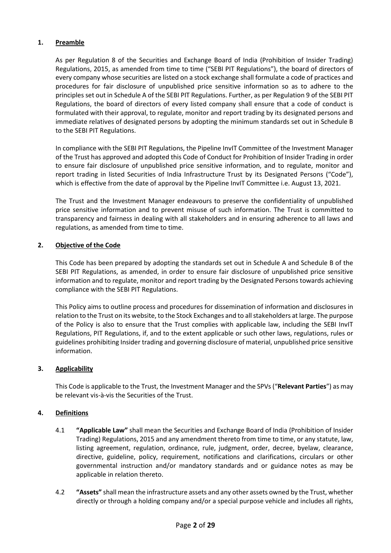# **1. Preamble**

As per Regulation 8 of the Securities and Exchange Board of India (Prohibition of Insider Trading) Regulations, 2015, as amended from time to time ("SEBI PIT Regulations"), the board of directors of every company whose securities are listed on a stock exchange shall formulate a code of practices and procedures for fair disclosure of unpublished price sensitive information so as to adhere to the principles set out in Schedule A of the SEBI PIT Regulations. Further, as per Regulation 9 of the SEBI PIT Regulations, the board of directors of every listed company shall ensure that a code of conduct is formulated with their approval, to regulate, monitor and report trading by its designated persons and immediate relatives of designated persons by adopting the minimum standards set out in Schedule B to the SEBI PIT Regulations.

In compliance with the SEBI PIT Regulations, the Pipeline InvIT Committee of the Investment Manager of the Trust has approved and adopted this Code of Conduct for Prohibition of Insider Trading in order to ensure fair disclosure of unpublished price sensitive information, and to regulate, monitor and report trading in listed Securities of India Infrastructure Trust by its Designated Persons ("Code"), which is effective from the date of approval by the Pipeline InvIT Committee i.e. August 13, 2021.

The Trust and the Investment Manager endeavours to preserve the confidentiality of unpublished price sensitive information and to prevent misuse of such information. The Trust is committed to transparency and fairness in dealing with all stakeholders and in ensuring adherence to all laws and regulations, as amended from time to time.

# **2. Objective of the Code**

This Code has been prepared by adopting the standards set out in Schedule A and Schedule B of the SEBI PIT Regulations, as amended, in order to ensure fair disclosure of unpublished price sensitive information and to regulate, monitor and report trading by the Designated Persons towards achieving compliance with the SEBI PIT Regulations.

This Policy aims to outline process and procedures for dissemination of information and disclosures in relation to the Trust on its website, to the Stock Exchanges and to all stakeholders at large. The purpose of the Policy is also to ensure that the Trust complies with applicable law, including the SEBI InvIT Regulations, PIT Regulations, if, and to the extent applicable or such other laws, regulations, rules or guidelines prohibiting Insider trading and governing disclosure of material, unpublished price sensitive information.

### **3. Applicability**

This Code is applicable to the Trust, the Investment Manager and the SPVs ("**Relevant Parties**") as may be relevant vis-à-vis the Securities of the Trust.

# **4. Definitions**

- 4.1 **"Applicable Law"** shall mean the Securities and Exchange Board of India (Prohibition of Insider Trading) Regulations, 2015 and any amendment thereto from time to time, or any statute, law, listing agreement, regulation, ordinance, rule, judgment, order, decree, byelaw, clearance, directive, guideline, policy, requirement, notifications and clarifications, circulars or other governmental instruction and/or mandatory standards and or guidance notes as may be applicable in relation thereto.
- 4.2 **"Assets"** shall mean the infrastructure assets and any other assets owned by the Trust, whether directly or through a holding company and/or a special purpose vehicle and includes all rights,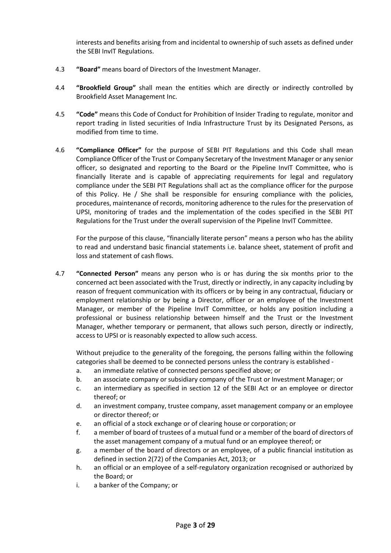interests and benefits arising from and incidental to ownership of such assets as defined under the SEBI InvIT Regulations.

- 4.3 **"Board"** means board of Directors of the Investment Manager.
- 4.4 **"Brookfield Group"** shall mean the entities which are directly or indirectly controlled by Brookfield Asset Management Inc.
- 4.5 **"Code"** means this Code of Conduct for Prohibition of Insider Trading to regulate, monitor and report trading in listed securities of India Infrastructure Trust by its Designated Persons, as modified from time to time.
- 4.6 **"Compliance Officer"** for the purpose of SEBI PIT Regulations and this Code shall mean Compliance Officer of the Trust or Company Secretary of the Investment Manager or any senior officer, so designated and reporting to the Board or the Pipeline InvIT Committee, who is financially literate and is capable of appreciating requirements for legal and regulatory compliance under the SEBI PIT Regulations shall act as the compliance officer for the purpose of this Policy. He / She shall be responsible for ensuring compliance with the policies, procedures, maintenance of records, monitoring adherence to the rules for the preservation of UPSI, monitoring of trades and the implementation of the codes specified in the SEBI PIT Regulations for the Trust under the overall supervision of the Pipeline InvIT Committee.

For the purpose of this clause, "financially literate person" means a person who has the ability to read and understand basic financial statements i.e. balance sheet, statement of profit and loss and statement of cash flows.

4.7 **"Connected Person"** means any person who is or has during the six months prior to the concerned act been associated with the Trust, directly or indirectly, in any capacity including by reason of frequent communication with its officers or by being in any contractual, fiduciary or employment relationship or by being a Director, officer or an employee of the Investment Manager, or member of the Pipeline InvIT Committee, or holds any position including a professional or business relationship between himself and the Trust or the Investment Manager, whether temporary or permanent, that allows such person, directly or indirectly, access to UPSI or is reasonably expected to allow such access.

Without prejudice to the generality of the foregoing, the persons falling within the following categories shall be deemed to be connected persons unless the contrary is established -

- a. an immediate relative of connected persons specified above; or
- b. an associate company or subsidiary company of the Trust or Investment Manager; or
- c. an intermediary as specified in section 12 of the SEBI Act or an employee or director thereof; or
- d. an investment company, trustee company, asset management company or an employee or director thereof; or
- e. an official of a stock exchange or of clearing house or corporation; or
- f. a member of board of trustees of a mutual fund or a member of the board of directors of the asset management company of a mutual fund or an employee thereof; or
- g. a member of the board of directors or an employee, of a public financial institution as defined in section 2(72) of the Companies Act, 2013; or
- h. an official or an employee of a self-regulatory organization recognised or authorized by the Board; or
- i. a banker of the Company; or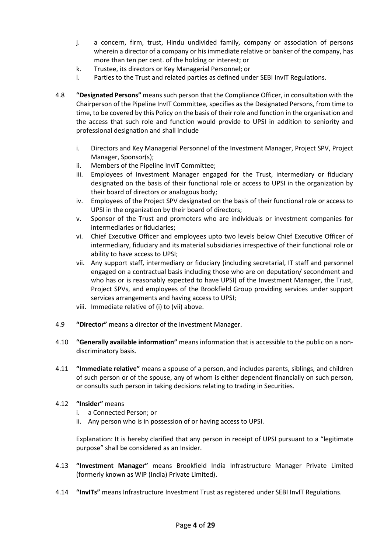- j. a concern, firm, trust, Hindu undivided family, company or association of persons wherein a director of a company or his immediate relative or banker of the company, has more than ten per cent. of the holding or interest; or
- k. Trustee, its directors or Key Managerial Personnel; or
- l. Parties to the Trust and related parties as defined under SEBI InvIT Regulations.
- 4.8 **"Designated Persons"** means such person that the Compliance Officer, in consultation with the Chairperson of the Pipeline InvIT Committee, specifies as the Designated Persons, from time to time, to be covered by this Policy on the basis of their role and function in the organisation and the access that such role and function would provide to UPSI in addition to seniority and professional designation and shall include
	- i. Directors and Key Managerial Personnel of the Investment Manager, Project SPV, Project Manager, Sponsor(s);
	- ii. Members of the Pipeline InvIT Committee;
	- iii. Employees of Investment Manager engaged for the Trust, intermediary or fiduciary designated on the basis of their functional role or access to UPSI in the organization by their board of directors or analogous body;
	- iv. Employees of the Project SPV designated on the basis of their functional role or access to UPSI in the organization by their board of directors;
	- v. Sponsor of the Trust and promoters who are individuals or investment companies for intermediaries or fiduciaries;
	- vi. Chief Executive Officer and employees upto two levels below Chief Executive Officer of intermediary, fiduciary and its material subsidiaries irrespective of their functional role or ability to have access to UPSI;
	- vii. Any support staff, intermediary or fiduciary (including secretarial, IT staff and personnel engaged on a contractual basis including those who are on deputation/ secondment and who has or is reasonably expected to have UPSI) of the Investment Manager, the Trust, Project SPVs, and employees of the Brookfield Group providing services under support services arrangements and having access to UPSI;
	- viii. Immediate relative of (i) to (vii) above.
- 4.9 **"Director"** means a director of the Investment Manager.
- 4.10 **"Generally available information"** means information that is accessible to the public on a nondiscriminatory basis.
- 4.11 **"Immediate relative"** means a spouse of a person, and includes parents, siblings, and children of such person or of the spouse, any of whom is either dependent financially on such person, or consults such person in taking decisions relating to trading in Securities.

# 4.12 **"Insider"** means

- i. a Connected Person; or
- ii. Any person who is in possession of or having access to UPSI.

Explanation: It is hereby clarified that any person in receipt of UPSI pursuant to a "legitimate purpose" shall be considered as an Insider.

- 4.13 **"Investment Manager"** means Brookfield India Infrastructure Manager Private Limited (formerly known as WIP (India) Private Limited).
- 4.14 **"InvITs"** means Infrastructure Investment Trust as registered under SEBI InvIT Regulations.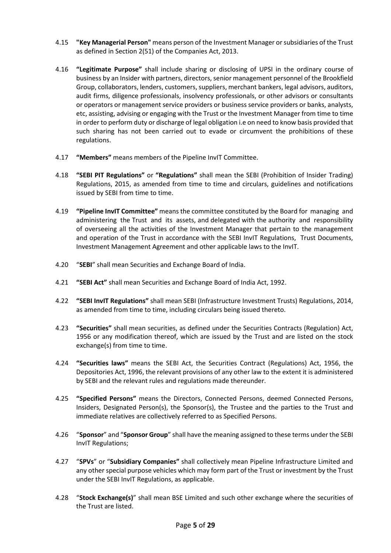- 4.15 **"Key Managerial Person"** means person of the Investment Manager or subsidiaries of the Trust as defined in Section 2(51) of the Companies Act, 2013.
- 4.16 **"Legitimate Purpose"** shall include sharing or disclosing of UPSI in the ordinary course of business by an Insider with partners, directors, senior management personnel of the Brookfield Group, collaborators, lenders, customers, suppliers, merchant bankers, legal advisors, auditors, audit firms, diligence professionals, insolvency professionals, or other advisors or consultants or operators or management service providers or business service providers or banks, analysts, etc, assisting, advising or engaging with the Trust or the Investment Manager from time to time in order to perform duty or discharge of legal obligation i.e on need to know basis provided that such sharing has not been carried out to evade or circumvent the prohibitions of these regulations.
- 4.17 **"Members"** means members of the Pipeline InvIT Committee.
- 4.18 **"SEBI PIT Regulations"** or **"Regulations"** shall mean the SEBI (Prohibition of Insider Trading) Regulations, 2015, as amended from time to time and circulars, guidelines and notifications issued by SEBI from time to time.
- 4.19 **"Pipeline InvIT Committee"** means the committee constituted by the Board for managing and administering the Trust and its assets, and delegated with the authority and responsibility of overseeing all the activities of the Investment Manager that pertain to the management and operation of the Trust in accordance with the SEBI InvIT Regulations, Trust Documents, Investment Management Agreement and other applicable laws to the InvIT.
- 4.20 "**SEBI**" shall mean Securities and Exchange Board of India.
- 4.21 **"SEBI Act"** shall mean Securities and Exchange Board of India Act, 1992.
- 4.22 **"SEBI InvIT Regulations"** shall mean SEBI (Infrastructure Investment Trusts) Regulations, 2014, as amended from time to time, including circulars being issued thereto.
- 4.23 **"Securities"** shall mean securities, as defined under the Securities Contracts (Regulation) Act, 1956 or any modification thereof, which are issued by the Trust and are listed on the stock exchange(s) from time to time.
- 4.24 **"Securities laws"** means the SEBI Act, the Securities Contract (Regulations) Act, 1956, the Depositories Act, 1996, the relevant provisions of any other law to the extent it is administered by SEBI and the relevant rules and regulations made thereunder.
- 4.25 **"Specified Persons"** means the Directors, Connected Persons, deemed Connected Persons, Insiders, Designated Person(s), the Sponsor(s), the Trustee and the parties to the Trust and immediate relatives are collectively referred to as Specified Persons.
- 4.26 "**Sponsor**" and "**Sponsor Group**" shall have the meaning assigned to these terms under the SEBI InvIT Regulations;
- 4.27 "**SPVs**" or "**Subsidiary Companies"** shall collectively mean Pipeline Infrastructure Limited and any other special purpose vehicles which may form part of the Trust or investment by the Trust under the SEBI InvIT Regulations, as applicable.
- 4.28 "**Stock Exchange(s)**" shall mean BSE Limited and such other exchange where the securities of the Trust are listed.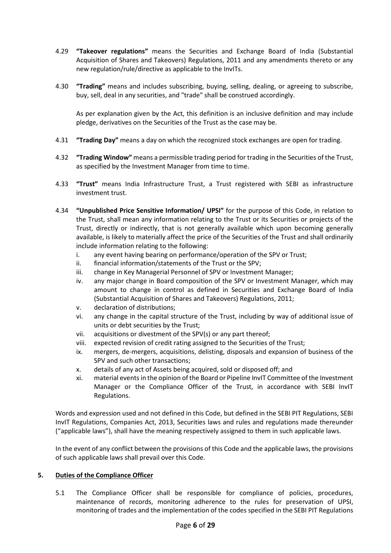- 4.29 **"Takeover regulations"** means the Securities and Exchange Board of India (Substantial Acquisition of Shares and Takeovers) Regulations, 2011 and any amendments thereto or any new regulation/rule/directive as applicable to the InvITs.
- 4.30 **"Trading"** means and includes subscribing, buying, selling, dealing, or agreeing to subscribe, buy, sell, deal in any securities, and "trade" shall be construed accordingly.

As per explanation given by the Act, this definition is an inclusive definition and may include pledge, derivatives on the Securities of the Trust as the case may be.

- 4.31 **"Trading Day"** means a day on which the recognized stock exchanges are open for trading.
- 4.32 **"Trading Window"** means a permissible trading period for trading in the Securities of the Trust, as specified by the Investment Manager from time to time.
- 4.33 **"Trust"** means India Infrastructure Trust, a Trust registered with SEBI as infrastructure investment trust.
- 4.34 **"Unpublished Price Sensitive Information/ UPSI"** for the purpose of this Code, in relation to the Trust, shall mean any information relating to the Trust or its Securities or projects of the Trust, directly or indirectly, that is not generally available which upon becoming generally available, is likely to materially affect the price of the Securities of the Trust and shall ordinarily include information relating to the following:
	- i. any event having bearing on performance/operation of the SPV or Trust;
	- ii. financial information/statements of the Trust or the SPV;
	- iii. change in Key Managerial Personnel of SPV or Investment Manager;
	- iv. any major change in Board composition of the SPV or Investment Manager, which may amount to change in control as defined in Securities and Exchange Board of India (Substantial Acquisition of Shares and Takeovers) Regulations, 2011;
	- v. declaration of distributions;
	- vi. any change in the capital structure of the Trust, including by way of additional issue of units or debt securities by the Trust;
	- vii. acquisitions or divestment of the SPV(s) or any part thereof;
	- viii. expected revision of credit rating assigned to the Securities of the Trust;
	- ix. mergers, de-mergers, acquisitions, delisting, disposals and expansion of business of the SPV and such other transactions;
	- x. details of any act of Assets being acquired, sold or disposed off; and
	- xi. material events in the opinion of the Board or Pipeline InvIT Committee of the Investment Manager or the Compliance Officer of the Trust, in accordance with SEBI InvIT Regulations.

Words and expression used and not defined in this Code, but defined in the SEBI PIT Regulations, SEBI InvIT Regulations, Companies Act, 2013, Securities laws and rules and regulations made thereunder ("applicable laws"), shall have the meaning respectively assigned to them in such applicable laws.

In the event of any conflict between the provisions of this Code and the applicable laws, the provisions of such applicable laws shall prevail over this Code.

### **5. Duties of the Compliance Officer**

5.1 The Compliance Officer shall be responsible for compliance of policies, procedures, maintenance of records, monitoring adherence to the rules for preservation of UPSI, monitoring of trades and the implementation of the codes specified in the SEBI PIT Regulations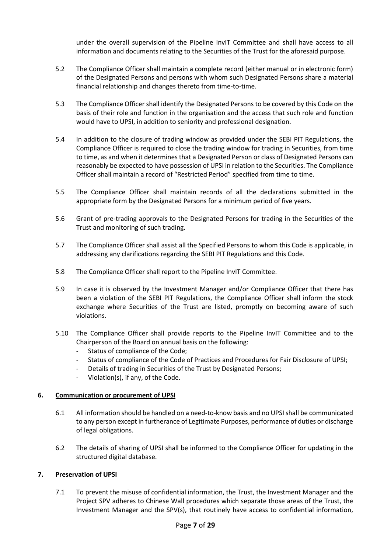under the overall supervision of the Pipeline InvIT Committee and shall have access to all information and documents relating to the Securities of the Trust for the aforesaid purpose.

- 5.2 The Compliance Officer shall maintain a complete record (either manual or in electronic form) of the Designated Persons and persons with whom such Designated Persons share a material financial relationship and changes thereto from time-to-time.
- 5.3 The Compliance Officer shall identify the Designated Persons to be covered by this Code on the basis of their role and function in the organisation and the access that such role and function would have to UPSI, in addition to seniority and professional designation.
- 5.4 In addition to the closure of trading window as provided under the SEBI PIT Regulations, the Compliance Officer is required to close the trading window for trading in Securities, from time to time, as and when it determines that a Designated Person or class of Designated Persons can reasonably be expected to have possession of UPSI in relation to the Securities. The Compliance Officer shall maintain a record of "Restricted Period" specified from time to time.
- 5.5 The Compliance Officer shall maintain records of all the declarations submitted in the appropriate form by the Designated Persons for a minimum period of five years.
- 5.6 Grant of pre-trading approvals to the Designated Persons for trading in the Securities of the Trust and monitoring of such trading.
- 5.7 The Compliance Officer shall assist all the Specified Persons to whom this Code is applicable, in addressing any clarifications regarding the SEBI PIT Regulations and this Code.
- 5.8 The Compliance Officer shall report to the Pipeline InvIT Committee.
- 5.9 In case it is observed by the Investment Manager and/or Compliance Officer that there has been a violation of the SEBI PIT Regulations, the Compliance Officer shall inform the stock exchange where Securities of the Trust are listed, promptly on becoming aware of such violations.
- 5.10 The Compliance Officer shall provide reports to the Pipeline InvIT Committee and to the Chairperson of the Board on annual basis on the following:
	- Status of compliance of the Code:
	- Status of compliance of the Code of Practices and Procedures for Fair Disclosure of UPSI;
	- Details of trading in Securities of the Trust by Designated Persons;
	- Violation(s), if any, of the Code.

### **6. Communication or procurement of UPSI**

- 6.1 All information should be handled on a need-to-know basis and no UPSIshall be communicated to any person except in furtherance of Legitimate Purposes, performance of duties or discharge of legal obligations.
- 6.2 The details of sharing of UPSI shall be informed to the Compliance Officer for updating in the structured digital database.

### **7. Preservation of UPSI**

7.1 To prevent the misuse of confidential information, the Trust, the Investment Manager and the Project SPV adheres to Chinese Wall procedures which separate those areas of the Trust, the Investment Manager and the SPV(s), that routinely have access to confidential information,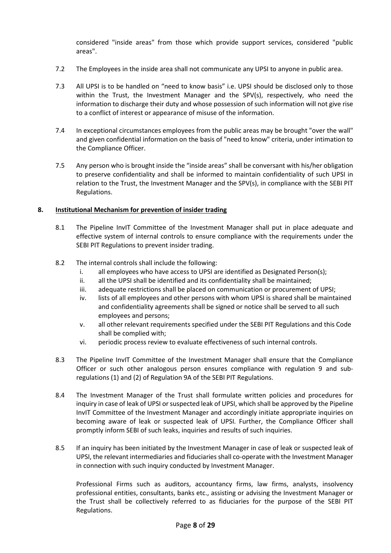considered "inside areas" from those which provide support services, considered "public areas".

- 7.2 The Employees in the inside area shall not communicate any UPSI to anyone in public area.
- 7.3 All UPSI is to be handled on "need to know basis" i.e. UPSI should be disclosed only to those within the Trust, the Investment Manager and the SPV(s), respectively, who need the information to discharge their duty and whose possession of such information will not give rise to a conflict of interest or appearance of misuse of the information.
- 7.4 In exceptional circumstances employees from the public areas may be brought "over the wall" and given confidential information on the basis of "need to know" criteria, under intimation to the Compliance Officer.
- 7.5 Any person who is brought inside the "inside areas" shall be conversant with his/her obligation to preserve confidentiality and shall be informed to maintain confidentiality of such UPSI in relation to the Trust, the Investment Manager and the SPV(s), in compliance with the SEBI PIT Regulations.

### **8. Institutional Mechanism for prevention of insider trading**

- 8.1 The Pipeline InvIT Committee of the Investment Manager shall put in place adequate and effective system of internal controls to ensure compliance with the requirements under the SEBI PIT Regulations to prevent insider trading.
- 8.2 The internal controls shall include the following:
	- i. all employees who have access to UPSI are identified as Designated Person(s);
	- ii. all the UPSI shall be identified and its confidentiality shall be maintained;
	- iii. adequate restrictions shall be placed on communication or procurement of UPSI;
	- iv. lists of all employees and other persons with whom UPSI is shared shall be maintained and confidentiality agreements shall be signed or notice shall be served to all such employees and persons;
	- v. all other relevant requirements specified under the SEBI PIT Regulations and this Code shall be complied with;
	- vi. periodic process review to evaluate effectiveness of such internal controls.
- 8.3 The Pipeline InvIT Committee of the Investment Manager shall ensure that the Compliance Officer or such other analogous person ensures compliance with regulation 9 and subregulations (1) and (2) of Regulation 9A of the SEBI PIT Regulations.
- 8.4 The Investment Manager of the Trust shall formulate written policies and procedures for inquiry in case of leak of UPSI or suspected leak of UPSI, which shall be approved by the Pipeline InvIT Committee of the Investment Manager and accordingly initiate appropriate inquiries on becoming aware of leak or suspected leak of UPSI. Further, the Compliance Officer shall promptly inform SEBI of such leaks, inquiries and results of such inquiries.
- 8.5 If an inquiry has been initiated by the Investment Manager in case of leak or suspected leak of UPSI, the relevant intermediaries and fiduciaries shall co-operate with the Investment Manager in connection with such inquiry conducted by Investment Manager.

Professional Firms such as auditors, accountancy firms, law firms, analysts, insolvency professional entities, consultants, banks etc., assisting or advising the Investment Manager or the Trust shall be collectively referred to as fiduciaries for the purpose of the SEBI PIT Regulations.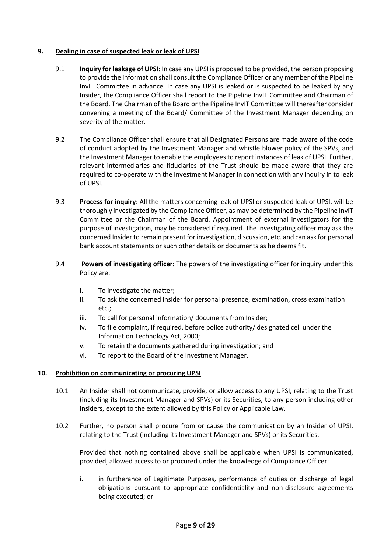# **9. Dealing in case of suspected leak or leak of UPSI**

- 9.1 **Inquiry for leakage of UPSI:** In case any UPSI is proposed to be provided, the person proposing to provide the information shall consult the Compliance Officer or any member of the Pipeline InvIT Committee in advance. In case any UPSI is leaked or is suspected to be leaked by any Insider, the Compliance Officer shall report to the Pipeline InvIT Committee and Chairman of the Board. The Chairman of the Board or the Pipeline InvIT Committee will thereafter consider convening a meeting of the Board/ Committee of the Investment Manager depending on severity of the matter.
- 9.2 The Compliance Officer shall ensure that all Designated Persons are made aware of the code of conduct adopted by the Investment Manager and whistle blower policy of the SPVs, and the Investment Manager to enable the employees to report instances of leak of UPSI. Further, relevant intermediaries and fiduciaries of the Trust should be made aware that they are required to co-operate with the Investment Manager in connection with any inquiry in to leak of UPSI.
- 9.3 **Process for inquiry:** All the matters concerning leak of UPSI or suspected leak of UPSI, will be thoroughly investigated by the Compliance Officer, as may be determined by the Pipeline InvIT Committee or the Chairman of the Board. Appointment of external investigators for the purpose of investigation, may be considered if required. The investigating officer may ask the concerned Insider to remain present for investigation, discussion, etc. and can ask for personal bank account statements or such other details or documents as he deems fit.
- 9.4 **Powers of investigating officer:** The powers of the investigating officer for inquiry under this Policy are:
	- i. To investigate the matter;
	- ii. To ask the concerned Insider for personal presence, examination, cross examination etc.;
	- iii. To call for personal information/ documents from Insider;
	- iv. To file complaint, if required, before police authority/ designated cell under the Information Technology Act, 2000;
	- v. To retain the documents gathered during investigation; and
	- vi. To report to the Board of the Investment Manager.

### **10. Prohibition on communicating or procuring UPSI**

- 10.1 An Insider shall not communicate, provide, or allow access to any UPSI, relating to the Trust (including its Investment Manager and SPVs) or its Securities, to any person including other Insiders, except to the extent allowed by this Policy or Applicable Law.
- 10.2 Further, no person shall procure from or cause the communication by an Insider of UPSI, relating to the Trust (including its Investment Manager and SPVs) or its Securities.

Provided that nothing contained above shall be applicable when UPSI is communicated, provided, allowed access to or procured under the knowledge of Compliance Officer:

i. in furtherance of Legitimate Purposes, performance of duties or discharge of legal obligations pursuant to appropriate confidentiality and non-disclosure agreements being executed; or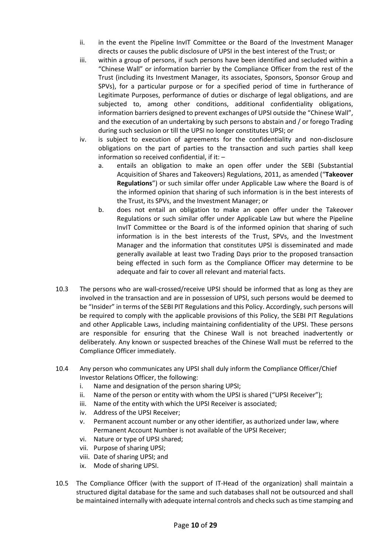- ii. in the event the Pipeline InvIT Committee or the Board of the Investment Manager directs or causes the public disclosure of UPSI in the best interest of the Trust; or
- iii. within a group of persons, if such persons have been identified and secluded within a "Chinese Wall" or information barrier by the Compliance Officer from the rest of the Trust (including its Investment Manager, its associates, Sponsors, Sponsor Group and SPVs), for a particular purpose or for a specified period of time in furtherance of Legitimate Purposes, performance of duties or discharge of legal obligations, and are subjected to, among other conditions, additional confidentiality obligations, information barriers designed to prevent exchanges of UPSI outside the "Chinese Wall", and the execution of an undertaking by such persons to abstain and / or forego Trading during such seclusion or till the UPSI no longer constitutes UPSI; or
- iv. is subject to execution of agreements for the confidentiality and non-disclosure obligations on the part of parties to the transaction and such parties shall keep information so received confidential, if it: –
	- a. entails an obligation to make an open offer under the SEBI (Substantial Acquisition of Shares and Takeovers) Regulations, 2011, as amended ("**Takeover Regulations**") or such similar offer under Applicable Law where the Board is of the informed opinion that sharing of such information is in the best interests of the Trust, its SPVs, and the Investment Manager; or
	- b. does not entail an obligation to make an open offer under the Takeover Regulations or such similar offer under Applicable Law but where the Pipeline InvIT Committee or the Board is of the informed opinion that sharing of such information is in the best interests of the Trust, SPVs, and the Investment Manager and the information that constitutes UPSI is disseminated and made generally available at least two Trading Days prior to the proposed transaction being effected in such form as the Compliance Officer may determine to be adequate and fair to cover all relevant and material facts.
- 10.3 The persons who are wall-crossed/receive UPSI should be informed that as long as they are involved in the transaction and are in possession of UPSI, such persons would be deemed to be "Insider" in terms of the SEBI PIT Regulations and this Policy. Accordingly, such persons will be required to comply with the applicable provisions of this Policy, the SEBI PIT Regulations and other Applicable Laws, including maintaining confidentiality of the UPSI. These persons are responsible for ensuring that the Chinese Wall is not breached inadvertently or deliberately. Any known or suspected breaches of the Chinese Wall must be referred to the Compliance Officer immediately.
- 10.4 Any person who communicates any UPSI shall duly inform the Compliance Officer/Chief Investor Relations Officer, the following:
	- i. Name and designation of the person sharing UPSI;
	- ii. Name of the person or entity with whom the UPSI is shared ("UPSI Receiver");
	- iii. Name of the entity with which the UPSI Receiver is associated;
	- iv. Address of the UPSI Receiver;
	- v. Permanent account number or any other identifier, as authorized under law, where Permanent Account Number is not available of the UPSI Receiver;
	- vi. Nature or type of UPSI shared;
	- vii. Purpose of sharing UPSI;
	- viii. Date of sharing UPSI; and
	- ix. Mode of sharing UPSI.
- 10.5 The Compliance Officer (with the support of IT-Head of the organization) shall maintain a structured digital database for the same and such databases shall not be outsourced and shall be maintained internally with adequate internal controls and checks such as time stamping and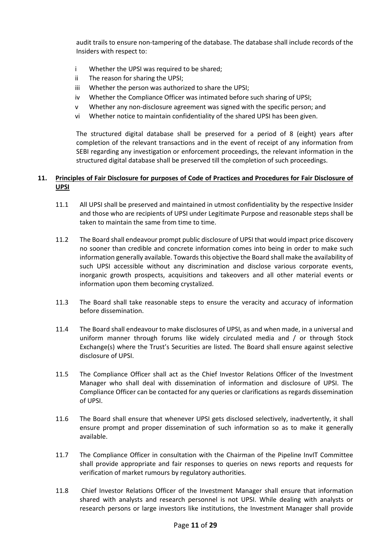audit trails to ensure non-tampering of the database. The database shall include records of the Insiders with respect to:

- i Whether the UPSI was required to be shared;
- ii The reason for sharing the UPSI;
- iii Whether the person was authorized to share the UPSI;
- iv Whether the Compliance Officer was intimated before such sharing of UPSI;
- v Whether any non-disclosure agreement was signed with the specific person; and
- vi Whether notice to maintain confidentiality of the shared UPSI has been given.

The structured digital database shall be preserved for a period of 8 (eight) years after completion of the relevant transactions and in the event of receipt of any information from SEBI regarding any investigation or enforcement proceedings, the relevant information in the structured digital database shall be preserved till the completion of such proceedings.

# **11. Principles of Fair Disclosure for purposes of Code of Practices and Procedures for Fair Disclosure of UPSI**

- 11.1 All UPSI shall be preserved and maintained in utmost confidentiality by the respective Insider and those who are recipients of UPSI under Legitimate Purpose and reasonable steps shall be taken to maintain the same from time to time.
- 11.2 The Board shall endeavour prompt public disclosure of UPSI that would impact price discovery no sooner than credible and concrete information comes into being in order to make such information generally available. Towards this objective the Board shall make the availability of such UPSI accessible without any discrimination and disclose various corporate events, inorganic growth prospects, acquisitions and takeovers and all other material events or information upon them becoming crystalized.
- 11.3 The Board shall take reasonable steps to ensure the veracity and accuracy of information before dissemination.
- 11.4 The Board shall endeavour to make disclosures of UPSI, as and when made, in a universal and uniform manner through forums like widely circulated media and / or through Stock Exchange(s) where the Trust's Securities are listed. The Board shall ensure against selective disclosure of UPSI.
- 11.5 The Compliance Officer shall act as the Chief Investor Relations Officer of the Investment Manager who shall deal with dissemination of information and disclosure of UPSI. The Compliance Officer can be contacted for any queries or clarifications as regards dissemination of UPSI.
- 11.6 The Board shall ensure that whenever UPSI gets disclosed selectively, inadvertently, it shall ensure prompt and proper dissemination of such information so as to make it generally available.
- 11.7 The Compliance Officer in consultation with the Chairman of the Pipeline InvIT Committee shall provide appropriate and fair responses to queries on news reports and requests for verification of market rumours by regulatory authorities.
- 11.8 Chief Investor Relations Officer of the Investment Manager shall ensure that information shared with analysts and research personnel is not UPSI. While dealing with analysts or research persons or large investors like institutions, the Investment Manager shall provide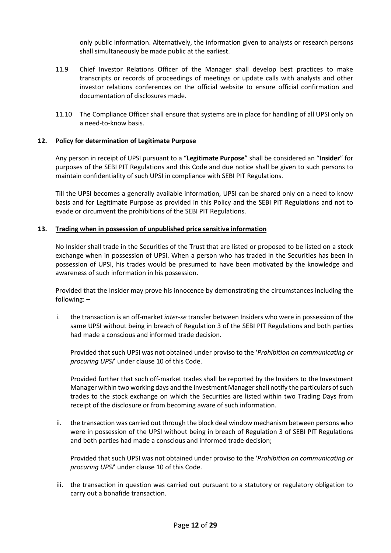only public information. Alternatively, the information given to analysts or research persons shall simultaneously be made public at the earliest.

- 11.9 Chief Investor Relations Officer of the Manager shall develop best practices to make transcripts or records of proceedings of meetings or update calls with analysts and other investor relations conferences on the official website to ensure official confirmation and documentation of disclosures made.
- 11.10 The Compliance Officer shall ensure that systems are in place for handling of all UPSI only on a need-to-know basis.

#### **12. Policy for determination of Legitimate Purpose**

Any person in receipt of UPSI pursuant to a "**Legitimate Purpose**" shall be considered an "**Insider**" for purposes of the SEBI PIT Regulations and this Code and due notice shall be given to such persons to maintain confidentiality of such UPSI in compliance with SEBI PIT Regulations.

Till the UPSI becomes a generally available information, UPSI can be shared only on a need to know basis and for Legitimate Purpose as provided in this Policy and the SEBI PIT Regulations and not to evade or circumvent the prohibitions of the SEBI PIT Regulations.

#### **13. Trading when in possession of unpublished price sensitive information**

No Insider shall trade in the Securities of the Trust that are listed or proposed to be listed on a stock exchange when in possession of UPSI. When a person who has traded in the Securities has been in possession of UPSI, his trades would be presumed to have been motivated by the knowledge and awareness of such information in his possession.

Provided that the Insider may prove his innocence by demonstrating the circumstances including the following: –

i. the transaction is an off-market *inter-se* transfer between Insiders who were in possession of the same UPSI without being in breach of Regulation 3 of the SEBI PIT Regulations and both parties had made a conscious and informed trade decision.

Provided that such UPSI was not obtained under proviso to the '*Prohibition on communicating or procuring UPSI*' under clause 10 of this Code.

Provided further that such off-market trades shall be reported by the Insiders to the Investment Manager within two working days and the Investment Manager shall notify the particulars of such trades to the stock exchange on which the Securities are listed within two Trading Days from receipt of the disclosure or from becoming aware of such information.

ii. the transaction was carried out through the block deal window mechanism between persons who were in possession of the UPSI without being in breach of Regulation 3 of SEBI PIT Regulations and both parties had made a conscious and informed trade decision;

Provided that such UPSI was not obtained under proviso to the '*Prohibition on communicating or procuring UPSI*' under clause 10 of this Code.

iii. the transaction in question was carried out pursuant to a statutory or regulatory obligation to carry out a bonafide transaction.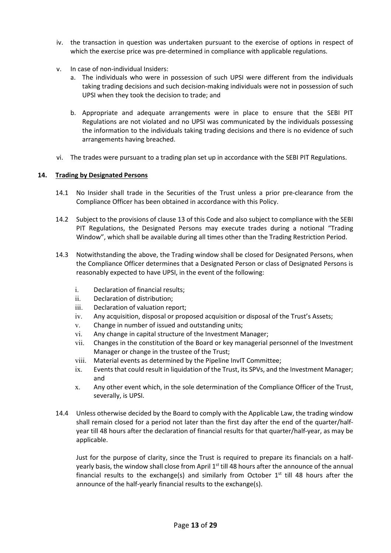- iv. the transaction in question was undertaken pursuant to the exercise of options in respect of which the exercise price was pre-determined in compliance with applicable regulations.
- v. In case of non-individual Insiders:
	- a. The individuals who were in possession of such UPSI were different from the individuals taking trading decisions and such decision-making individuals were not in possession of such UPSI when they took the decision to trade; and
	- b. Appropriate and adequate arrangements were in place to ensure that the SEBI PIT Regulations are not violated and no UPSI was communicated by the individuals possessing the information to the individuals taking trading decisions and there is no evidence of such arrangements having breached.
- vi. The trades were pursuant to a trading plan set up in accordance with the SEBI PIT Regulations.

# **14. Trading by Designated Persons**

- 14.1 No Insider shall trade in the Securities of the Trust unless a prior pre-clearance from the Compliance Officer has been obtained in accordance with this Policy.
- 14.2 Subject to the provisions of clause 13 of this Code and also subject to compliance with the SEBI PIT Regulations, the Designated Persons may execute trades during a notional "Trading Window", which shall be available during all times other than the Trading Restriction Period.
- 14.3 Notwithstanding the above, the Trading window shall be closed for Designated Persons, when the Compliance Officer determines that a Designated Person or class of Designated Persons is reasonably expected to have UPSI, in the event of the following:
	- i. Declaration of financial results;
	- ii. Declaration of distribution;
	- iii. Declaration of valuation report;
	- iv. Any acquisition, disposal or proposed acquisition or disposal of the Trust's Assets;
	- v. Change in number of issued and outstanding units;
	- vi. Any change in capital structure of the Investment Manager;
	- vii. Changes in the constitution of the Board or key managerial personnel of the Investment Manager or change in the trustee of the Trust;
	- viii. Material events as determined by the Pipeline InvIT Committee;
	- ix. Events that could result in liquidation of the Trust, its SPVs, and the Investment Manager; and
	- x. Any other event which, in the sole determination of the Compliance Officer of the Trust, severally, is UPSI.
- 14.4 Unless otherwise decided by the Board to comply with the Applicable Law, the trading window shall remain closed for a period not later than the first day after the end of the quarter/halfyear till 48 hours after the declaration of financial results for that quarter/half-year, as may be applicable.

Just for the purpose of clarity, since the Trust is required to prepare its financials on a halfyearly basis, the window shall close from April  $1<sup>st</sup>$  till 48 hours after the announce of the annual financial results to the exchange(s) and similarly from October  $1<sup>st</sup>$  till 48 hours after the announce of the half-yearly financial results to the exchange(s).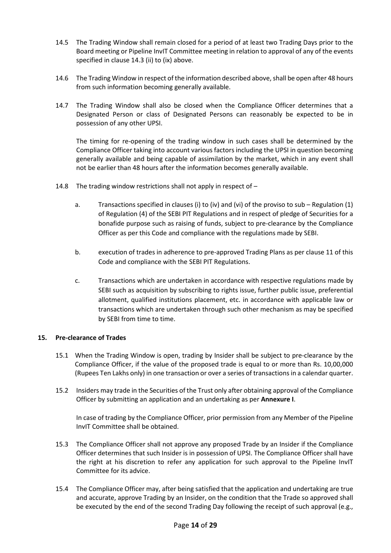- 14.5 The Trading Window shall remain closed for a period of at least two Trading Days prior to the Board meeting or Pipeline InvIT Committee meeting in relation to approval of any of the events specified in clause 14.3 (ii) to (ix) above.
- 14.6 The Trading Window in respect of the information described above, shall be open after 48 hours from such information becoming generally available.
- 14.7 The Trading Window shall also be closed when the Compliance Officer determines that a Designated Person or class of Designated Persons can reasonably be expected to be in possession of any other UPSI.

The timing for re-opening of the trading window in such cases shall be determined by the Compliance Officer taking into account various factors including the UPSI in question becoming generally available and being capable of assimilation by the market, which in any event shall not be earlier than 48 hours after the information becomes generally available.

- 14.8 The trading window restrictions shall not apply in respect of
	- a. Transactions specified in clauses (i) to (iv) and (vi) of the proviso to sub Regulation (1) of Regulation (4) of the SEBI PIT Regulations and in respect of pledge of Securities for a bonafide purpose such as raising of funds, subject to pre-clearance by the Compliance Officer as per this Code and compliance with the regulations made by SEBI.
	- b. execution of trades in adherence to pre-approved Trading Plans as per clause 11 of this Code and compliance with the SEBI PIT Regulations.
	- c. Transactions which are undertaken in accordance with respective regulations made by SEBI such as acquisition by subscribing to rights issue, further public issue, preferential allotment, qualified institutions placement, etc. in accordance with applicable law or transactions which are undertaken through such other mechanism as may be specified by SEBI from time to time.

### **15. Pre-clearance of Trades**

- 15.1 When the Trading Window is open, trading by Insider shall be subject to pre-clearance by the Compliance Officer, if the value of the proposed trade is equal to or more than Rs. 10,00,000 (Rupees Ten Lakhs only) in one transaction or over a series of transactions in a calendar quarter.
- 15.2 Insiders may trade in the Securities of the Trust only after obtaining approval of the Compliance Officer by submitting an application and an undertaking as per **Annexure I**.

In case of trading by the Compliance Officer, prior permission from any Member of the Pipeline InvIT Committee shall be obtained.

- 15.3 The Compliance Officer shall not approve any proposed Trade by an Insider if the Compliance Officer determines that such Insider is in possession of UPSI. The Compliance Officer shall have the right at his discretion to refer any application for such approval to the Pipeline InvIT Committee for its advice.
- 15.4 The Compliance Officer may, after being satisfied that the application and undertaking are true and accurate, approve Trading by an Insider, on the condition that the Trade so approved shall be executed by the end of the second Trading Day following the receipt of such approval (e.g.,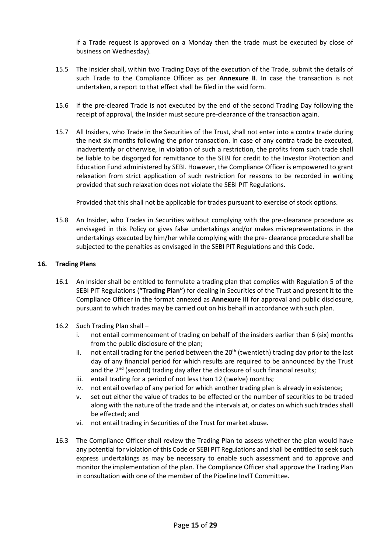if a Trade request is approved on a Monday then the trade must be executed by close of business on Wednesday).

- 15.5 The Insider shall, within two Trading Days of the execution of the Trade, submit the details of such Trade to the Compliance Officer as per **Annexure II**. In case the transaction is not undertaken, a report to that effect shall be filed in the said form.
- 15.6 If the pre-cleared Trade is not executed by the end of the second Trading Day following the receipt of approval, the Insider must secure pre-clearance of the transaction again.
- 15.7 All Insiders, who Trade in the Securities of the Trust, shall not enter into a contra trade during the next six months following the prior transaction. In case of any contra trade be executed, inadvertently or otherwise, in violation of such a restriction, the profits from such trade shall be liable to be disgorged for remittance to the SEBI for credit to the Investor Protection and Education Fund administered by SEBI. However, the Compliance Officer is empowered to grant relaxation from strict application of such restriction for reasons to be recorded in writing provided that such relaxation does not violate the SEBI PIT Regulations.

Provided that this shall not be applicable for trades pursuant to exercise of stock options.

15.8 An Insider, who Trades in Securities without complying with the pre-clearance procedure as envisaged in this Policy or gives false undertakings and/or makes misrepresentations in the undertakings executed by him/her while complying with the pre- clearance procedure shall be subjected to the penalties as envisaged in the SEBI PIT Regulations and this Code.

### **16. Trading Plans**

- 16.1 An Insider shall be entitled to formulate a trading plan that complies with Regulation 5 of the SEBI PIT Regulations (**"Trading Plan"**) for dealing in Securities of the Trust and present it to the Compliance Officer in the format annexed as **Annexure III** for approval and public disclosure, pursuant to which trades may be carried out on his behalf in accordance with such plan.
- 16.2 Such Trading Plan shall
	- i. not entail commencement of trading on behalf of the insiders earlier than 6 (six) months from the public disclosure of the plan;
	- ii. not entail trading for the period between the  $20<sup>th</sup>$  (twentieth) trading day prior to the last day of any financial period for which results are required to be announced by the Trust and the  $2^{nd}$  (second) trading day after the disclosure of such financial results;
	- iii. entail trading for a period of not less than 12 (twelve) months;
	- iv. not entail overlap of any period for which another trading plan is already in existence;
	- v. set out either the value of trades to be effected or the number of securities to be traded along with the nature of the trade and the intervals at, or dates on which such trades shall be effected; and
	- vi. not entail trading in Securities of the Trust for market abuse.
- 16.3 The Compliance Officer shall review the Trading Plan to assess whether the plan would have any potential for violation of this Code or SEBI PIT Regulations and shall be entitled to seek such express undertakings as may be necessary to enable such assessment and to approve and monitor the implementation of the plan. The Compliance Officer shall approve the Trading Plan in consultation with one of the member of the Pipeline InvIT Committee.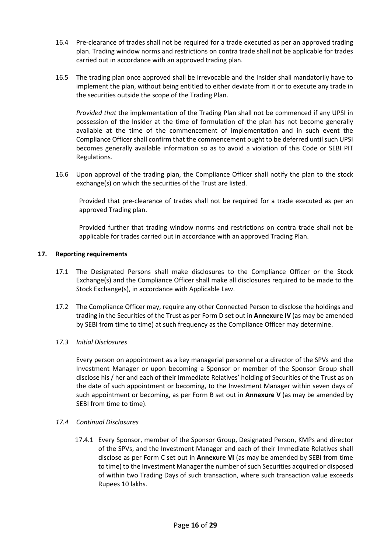- 16.4 Pre-clearance of trades shall not be required for a trade executed as per an approved trading plan. Trading window norms and restrictions on contra trade shall not be applicable for trades carried out in accordance with an approved trading plan.
- 16.5 The trading plan once approved shall be irrevocable and the Insider shall mandatorily have to implement the plan, without being entitled to either deviate from it or to execute any trade in the securities outside the scope of the Trading Plan.

*Provided that* the implementation of the Trading Plan shall not be commenced if any UPSI in possession of the Insider at the time of formulation of the plan has not become generally available at the time of the commencement of implementation and in such event the Compliance Officer shall confirm that the commencement ought to be deferred until such UPSI becomes generally available information so as to avoid a violation of this Code or SEBI PIT Regulations.

16.6 Upon approval of the trading plan, the Compliance Officer shall notify the plan to the stock exchange(s) on which the securities of the Trust are listed.

Provided that pre-clearance of trades shall not be required for a trade executed as per an approved Trading plan.

Provided further that trading window norms and restrictions on contra trade shall not be applicable for trades carried out in accordance with an approved Trading Plan.

# **17. Reporting requirements**

- 17.1 The Designated Persons shall make disclosures to the Compliance Officer or the Stock Exchange(s) and the Compliance Officer shall make all disclosures required to be made to the Stock Exchange(s), in accordance with Applicable Law.
- 17.2 The Compliance Officer may, require any other Connected Person to disclose the holdings and trading in the Securities of the Trust as per Form D set out in **Annexure IV** (as may be amended by SEBI from time to time) at such frequency as the Compliance Officer may determine.

### *17.3 Initial Disclosures*

Every person on appointment as a key managerial personnel or a director of the SPVs and the Investment Manager or upon becoming a Sponsor or member of the Sponsor Group shall disclose his / her and each of their Immediate Relatives' holding of Securities of the Trust as on the date of such appointment or becoming, to the Investment Manager within seven days of such appointment or becoming, as per Form B set out in **Annexure V** (as may be amended by SEBI from time to time).

### *17.4 Continual Disclosures*

17.4.1 Every Sponsor, member of the Sponsor Group, Designated Person, KMPs and director of the SPVs, and the Investment Manager and each of their Immediate Relatives shall disclose as per Form C set out in **Annexure VI** (as may be amended by SEBI from time to time) to the Investment Manager the number of such Securities acquired or disposed of within two Trading Days of such transaction, where such transaction value exceeds Rupees 10 lakhs.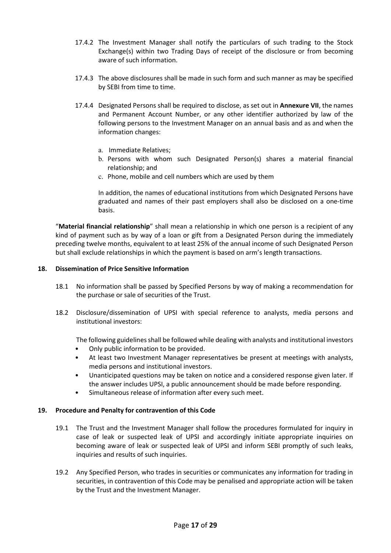- 17.4.2 The Investment Manager shall notify the particulars of such trading to the Stock Exchange(s) within two Trading Days of receipt of the disclosure or from becoming aware of such information.
- 17.4.3 The above disclosures shall be made in such form and such manner as may be specified by SEBI from time to time.
- 17.4.4 Designated Persons shall be required to disclose, as set out in **Annexure VII**, the names and Permanent Account Number, or any other identifier authorized by law of the following persons to the Investment Manager on an annual basis and as and when the information changes:
	- a. Immediate Relatives;
	- b. Persons with whom such Designated Person(s) shares a material financial relationship; and
	- c. Phone, mobile and cell numbers which are used by them

In addition, the names of educational institutions from which Designated Persons have graduated and names of their past employers shall also be disclosed on a one-time basis.

"**Material financial relationship**" shall mean a relationship in which one person is a recipient of any kind of payment such as by way of a loan or gift from a Designated Person during the immediately preceding twelve months, equivalent to at least 25% of the annual income of such Designated Person but shall exclude relationships in which the payment is based on arm's length transactions.

# **18. Dissemination of Price Sensitive Information**

- 18.1 No information shall be passed by Specified Persons by way of making a recommendation for the purchase or sale of securities of the Trust.
- 18.2 Disclosure/dissemination of UPSI with special reference to analysts, media persons and institutional investors:

The following guidelines shall be followed while dealing with analysts and institutional investors

- Only public information to be provided.
- At least two Investment Manager representatives be present at meetings with analysts, media persons and institutional investors.
- Unanticipated questions may be taken on notice and a considered response given later. If the answer includes UPSI, a public announcement should be made before responding.
- Simultaneous release of information after every such meet.

### **19. Procedure and Penalty for contravention of this Code**

- 19.1 The Trust and the Investment Manager shall follow the procedures formulated for inquiry in case of leak or suspected leak of UPSI and accordingly initiate appropriate inquiries on becoming aware of leak or suspected leak of UPSI and inform SEBI promptly of such leaks, inquiries and results of such inquiries.
- 19.2 Any Specified Person, who trades in securities or communicates any information for trading in securities, in contravention of this Code may be penalised and appropriate action will be taken by the Trust and the Investment Manager.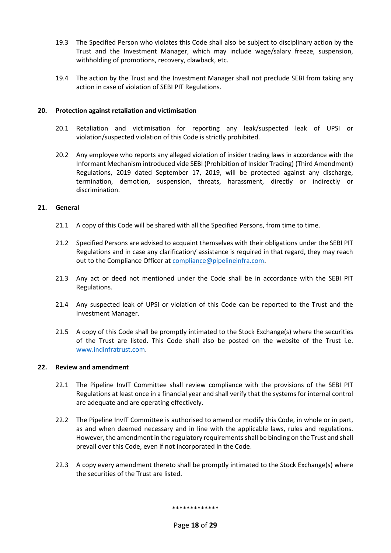- 19.3 The Specified Person who violates this Code shall also be subject to disciplinary action by the Trust and the Investment Manager, which may include wage/salary freeze, suspension, withholding of promotions, recovery, clawback, etc.
- 19.4 The action by the Trust and the Investment Manager shall not preclude SEBI from taking any action in case of violation of SEBI PIT Regulations.

## **20. Protection against retaliation and victimisation**

- 20.1 Retaliation and victimisation for reporting any leak/suspected leak of UPSI or violation/suspected violation of this Code is strictly prohibited.
- 20.2 Any employee who reports any alleged violation of insider trading laws in accordance with the Informant Mechanism introduced vide SEBI (Prohibition of Insider Trading) (Third Amendment) Regulations, 2019 dated September 17, 2019, will be protected against any discharge, termination, demotion, suspension, threats, harassment, directly or indirectly or discrimination.

# **21. General**

- 21.1 A copy of this Code will be shared with all the Specified Persons, from time to time.
- 21.2 Specified Persons are advised to acquaint themselves with their obligations under the SEBI PIT Regulations and in case any clarification/ assistance is required in that regard, they may reach out to the Compliance Officer at **compliance@pipelineinfra.com**.
- 21.3 Any act or deed not mentioned under the Code shall be in accordance with the SEBI PIT Regulations.
- 21.4 Any suspected leak of UPSI or violation of this Code can be reported to the Trust and the Investment Manager.
- 21.5 A copy of this Code shall be promptly intimated to the Stock Exchange(s) where the securities of the Trust are listed. This Code shall also be posted on the website of the Trust i.e. [www.indinfratrust.com.](http://www.indinfratrust.com/)

### **22. Review and amendment**

- 22.1 The Pipeline InvIT Committee shall review compliance with the provisions of the SEBI PIT Regulations at least once in a financial year and shall verify that the systems for internal control are adequate and are operating effectively.
- 22.2 The Pipeline InvIT Committee is authorised to amend or modify this Code, in whole or in part, as and when deemed necessary and in line with the applicable laws, rules and regulations. However, the amendment in the regulatory requirements shall be binding on the Trust and shall prevail over this Code, even if not incorporated in the Code.
- 22.3 A copy every amendment thereto shall be promptly intimated to the Stock Exchange(s) where the securities of the Trust are listed.

\*\*\*\*\*\*\*\*\*\*\*\*\*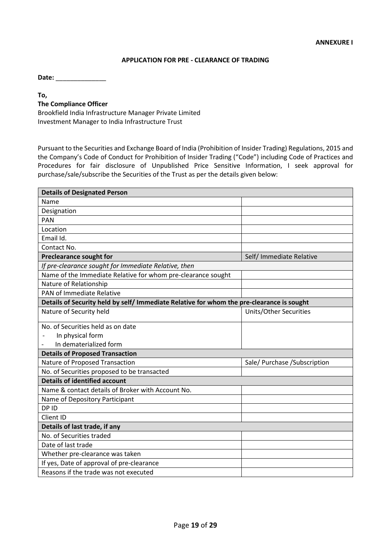#### **APPLICATION FOR PRE - CLEARANCE OF TRADING**

**Date:** \_\_\_\_\_\_\_\_\_\_\_\_\_\_

#### **To,**

#### **The Compliance Officer**

Brookfield India Infrastructure Manager Private Limited Investment Manager to India Infrastructure Trust

Pursuant to the Securities and Exchange Board of India (Prohibition of Insider Trading) Regulations, 2015 and the Company's Code of Conduct for Prohibition of Insider Trading ("Code") including Code of Practices and Procedures for fair disclosure of Unpublished Price Sensitive Information, I seek approval for purchase/sale/subscribe the Securities of the Trust as per the details given below:

| <b>Details of Designated Person</b>                                                       |                               |
|-------------------------------------------------------------------------------------------|-------------------------------|
| Name                                                                                      |                               |
| Designation                                                                               |                               |
| <b>PAN</b>                                                                                |                               |
| Location                                                                                  |                               |
| Email Id.                                                                                 |                               |
| Contact No.                                                                               |                               |
| <b>Preclearance sought for</b>                                                            | Self/ Immediate Relative      |
| If pre-clearance sought for Immediate Relative, then                                      |                               |
| Name of the Immediate Relative for whom pre-clearance sought                              |                               |
| Nature of Relationship                                                                    |                               |
| <b>PAN of Immediate Relative</b>                                                          |                               |
| Details of Security held by self/ Immediate Relative for whom the pre-clearance is sought |                               |
| Nature of Security held                                                                   | <b>Units/Other Securities</b> |
| No. of Securities held as on date                                                         |                               |
| In physical form                                                                          |                               |
| In dematerialized form                                                                    |                               |
| <b>Details of Proposed Transaction</b>                                                    |                               |
| Nature of Proposed Transaction                                                            | Sale/ Purchase / Subscription |
| No. of Securities proposed to be transacted                                               |                               |
| <b>Details of identified account</b>                                                      |                               |
| Name & contact details of Broker with Account No.                                         |                               |
| Name of Depository Participant                                                            |                               |
| DP ID                                                                                     |                               |
| Client ID                                                                                 |                               |
| Details of last trade, if any                                                             |                               |
| No. of Securities traded                                                                  |                               |
| Date of last trade                                                                        |                               |
| Whether pre-clearance was taken                                                           |                               |
| If yes, Date of approval of pre-clearance                                                 |                               |
| Reasons if the trade was not executed                                                     |                               |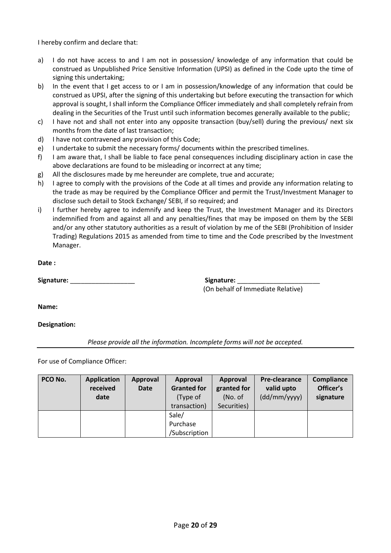I hereby confirm and declare that:

- a) I do not have access to and I am not in possession/ knowledge of any information that could be construed as Unpublished Price Sensitive Information (UPSI) as defined in the Code upto the time of signing this undertaking;
- b) In the event that I get access to or I am in possession/knowledge of any information that could be construed as UPSI, after the signing of this undertaking but before executing the transaction for which approval is sought, I shall inform the Compliance Officer immediately and shall completely refrain from dealing in the Securities of the Trust until such information becomes generally available to the public;
- c) I have not and shall not enter into any opposite transaction (buy/sell) during the previous/ next six months from the date of last transaction;
- d) I have not contravened any provision of this Code;
- e) I undertake to submit the necessary forms/ documents within the prescribed timelines.
- f) I am aware that, I shall be liable to face penal consequences including disciplinary action in case the above declarations are found to be misleading or incorrect at any time;
- g) All the disclosures made by me hereunder are complete, true and accurate;
- h) I agree to comply with the provisions of the Code at all times and provide any information relating to the trade as may be required by the Compliance Officer and permit the Trust/Investment Manager to disclose such detail to Stock Exchange/ SEBI, if so required; and
- i) I further hereby agree to indemnify and keep the Trust, the Investment Manager and its Directors indemnified from and against all and any penalties/fines that may be imposed on them by the SEBI and/or any other statutory authorities as a result of violation by me of the SEBI (Prohibition of Insider Trading) Regulations 2015 as amended from time to time and the Code prescribed by the Investment Manager.

**Date :** 

**Signature:** \_\_\_\_\_\_\_\_\_\_\_\_\_\_\_\_\_\_ **Signature:** \_\_\_\_\_\_\_\_\_\_\_\_\_\_\_\_\_\_\_\_\_\_\_

(On behalf of Immediate Relative)

**Name:** 

### **Designation:**

*Please provide all the information. Incomplete forms will not be accepted.*

For use of Compliance Officer:

| PCO No. | <b>Application</b> | Approval    | Approval           | Approval    | Pre-clearance | Compliance |
|---------|--------------------|-------------|--------------------|-------------|---------------|------------|
|         | received           | <b>Date</b> | <b>Granted for</b> | granted for | valid upto    | Officer's  |
|         | date               |             | (Type of           | (No. of     | (dd/mm/yyy)   | signature  |
|         |                    |             | transaction)       | Securities) |               |            |
|         |                    |             | Sale/              |             |               |            |
|         |                    |             | Purchase           |             |               |            |
|         |                    |             | /Subscription      |             |               |            |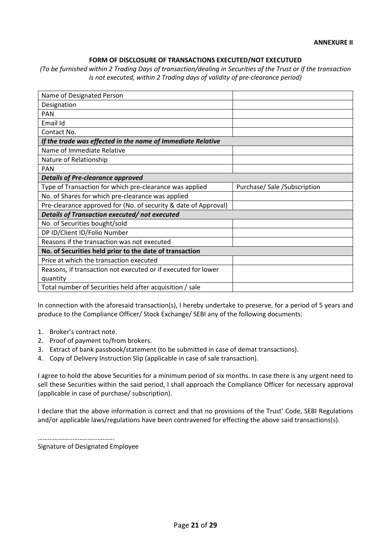#### **FORM OF DISCLOSURE OF TRANSACTIONS EXECUTED/NOT EXECUTUED**

*(To be furnished within 2 Trading Days of transaction/dealing in Securities of the Trust or if the transaction is not executed, within 2 Trading days of validity of pre-clearance period)* 

| Name of Designated Person                                       |                               |
|-----------------------------------------------------------------|-------------------------------|
| Designation                                                     |                               |
| <b>PAN</b>                                                      |                               |
| Email Id                                                        |                               |
| Contact No.                                                     |                               |
| If the trade was effected in the name of Immediate Relative     |                               |
| Name of Immediate Relative                                      |                               |
| Nature of Relationship                                          |                               |
| <b>PAN</b>                                                      |                               |
| <b>Details of Pre-clearance approved</b>                        |                               |
| Type of Transaction for which pre-clearance was applied         | Purchase/ Sale / Subscription |
| No. of Shares for which pre-clearance was applied               |                               |
| Pre-clearance approved for (No. of security & date of Approval) |                               |
| Details of Transaction executed/not executed                    |                               |
| No. of Securities bought/sold                                   |                               |
| DP ID/Client ID/Folio Number                                    |                               |
|                                                                 |                               |
| Reasons if the transaction was not executed                     |                               |
| No. of Securities held prior to the date of transaction         |                               |
| Price at which the transaction executed                         |                               |
| Reasons, if transaction not executed or if executed for lower   |                               |
| quantity                                                        |                               |

In connection with the aforesaid transaction(s), I hereby undertake to preserve, for a period of 5 years and produce to the Compliance Officer/ Stock Exchange/ SEBI any of the following documents:

- 1. Broker's contract note.
- 2. Proof of payment to/from brokers.
- 3. Extract of bank passbook/statement (to be submitted in case of demat transactions).
- 4. Copy of Delivery Instruction Slip (applicable in case of sale transaction).

I agree to hold the above Securities for a minimum period of six months. In case there is any urgent need to sell these Securities within the said period, I shall approach the Compliance Officer for necessary approval (applicable in case of purchase/ subscription).

I declare that the above information is correct and that no provisions of the Trust' Code, SEBI Regulations and/or applicable laws/regulations have been contravened for effecting the above said transactions(s).

………………………………………… Signature of Designated Employee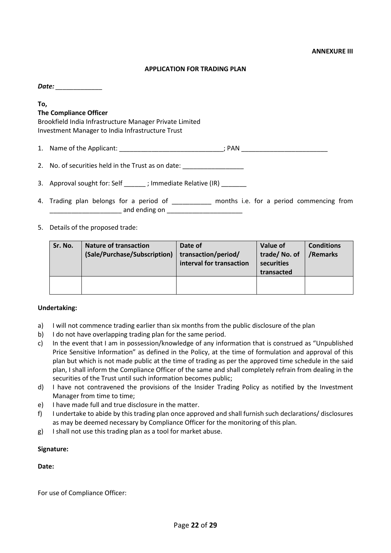#### **APPLICATION FOR TRADING PLAN**

*Date: \_\_\_\_\_\_\_\_\_\_\_\_\_* 

#### **To, The Compliance Officer**

Brookfield India Infrastructure Manager Private Limited Investment Manager to India Infrastructure Trust

1. Name of the Applicant: \_\_\_\_\_\_\_\_\_\_\_\_\_\_\_\_\_\_\_\_\_\_\_\_\_\_\_\_\_\_\_\_; PAN \_\_\_\_\_\_\_\_\_\_\_\_\_\_\_\_\_

2. No. of securities held in the Trust as on date: \_\_\_\_\_\_\_\_\_\_\_\_\_\_\_\_\_\_\_\_\_\_\_\_\_\_\_\_\_

3. Approval sought for: Self  $\qquad$ ; Immediate Relative (IR)

- 4. Trading plan belongs for a period of \_\_\_\_\_\_\_\_\_\_\_ months i.e. for a period commencing from \_\_\_\_\_\_\_\_\_\_\_\_\_\_\_\_\_\_\_\_ and ending on \_\_\_\_\_\_\_\_\_\_\_\_\_\_\_\_\_\_\_\_\_
- 5. Details of the proposed trade:

| Sr. No. | <b>Nature of transaction</b><br>(Sale/Purchase/Subscription) | Date of<br>transaction/period/<br>interval for transaction | Value of<br>trade/No. of<br>securities<br>transacted | <b>Conditions</b><br>/Remarks |
|---------|--------------------------------------------------------------|------------------------------------------------------------|------------------------------------------------------|-------------------------------|
|         |                                                              |                                                            |                                                      |                               |

#### **Undertaking:**

- a) I will not commence trading earlier than six months from the public disclosure of the plan
- b) I do not have overlapping trading plan for the same period.
- c) In the event that I am in possession/knowledge of any information that is construed as "Unpublished Price Sensitive Information" as defined in the Policy, at the time of formulation and approval of this plan but which is not made public at the time of trading as per the approved time schedule in the said plan, I shall inform the Compliance Officer of the same and shall completely refrain from dealing in the securities of the Trust until such information becomes public;
- d) I have not contravened the provisions of the Insider Trading Policy as notified by the Investment Manager from time to time;
- e) I have made full and true disclosure in the matter.
- f) I undertake to abide by this trading plan once approved and shall furnish such declarations/ disclosures as may be deemed necessary by Compliance Officer for the monitoring of this plan.
- g) I shall not use this trading plan as a tool for market abuse.

#### **Signature:**

#### **Date:**

For use of Compliance Officer: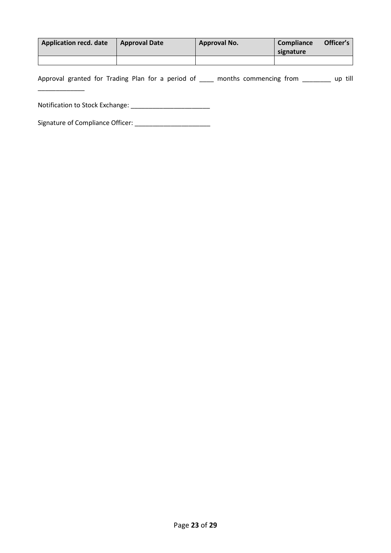| Application recd. date | <b>Approval Date</b> | Approval No. | Compliance<br>signature | Officer's |
|------------------------|----------------------|--------------|-------------------------|-----------|
|                        |                      |              |                         |           |

Approval granted for Trading Plan for a period of \_\_\_\_ months commencing from \_\_\_\_\_\_\_ up till

Notification to Stock Exchange: \_\_\_\_\_\_\_\_\_\_\_\_\_\_\_\_\_\_\_\_\_\_

\_\_\_\_\_\_\_\_\_\_\_\_\_

Signature of Compliance Officer: \_\_\_\_\_\_\_\_\_\_\_\_\_\_\_\_\_\_\_\_\_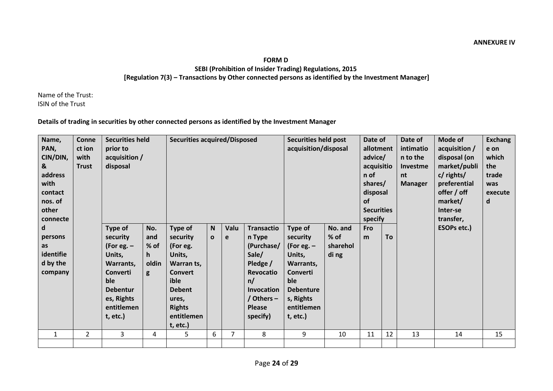### **FORM D**

**SEBI (Prohibition of Insider Trading) Regulations, 2015 [Regulation 7(3) – Transactions by Other connected persons as identified by the Investment Manager]**

Name of the Trust: ISIN of the Trust

## **Details of trading in securities by other connected persons as identified by the Investment Manager**

| Name,        | <b>Conne</b>   | <b>Securities held</b> |       | <b>Securities acquired/Disposed</b> |              |      |                  | <b>Securities held post</b> |          | Date of           |    | Date of        | Mode of            | <b>Exchang</b> |
|--------------|----------------|------------------------|-------|-------------------------------------|--------------|------|------------------|-----------------------------|----------|-------------------|----|----------------|--------------------|----------------|
| PAN,         | ct ion         | prior to               |       |                                     |              |      |                  | acquisition/disposal        |          | allotment         |    | intimatio      | acquisition /      | e on           |
| CIN/DIN,     | with           | acquisition /          |       |                                     |              |      |                  |                             |          | advice/           |    | n to the       | disposal (on       | which          |
|              |                |                        |       |                                     |              |      |                  |                             |          |                   |    |                |                    |                |
| &            | <b>Trust</b>   | disposal               |       |                                     |              |      |                  |                             |          | acquisitio        |    | Investme       | market/publi       | the            |
| address      |                |                        |       |                                     |              |      |                  |                             |          | n of              |    | nt             | c/ rights/         | trade          |
| with         |                |                        |       |                                     |              |      |                  |                             |          | shares/           |    | <b>Manager</b> | preferential       | was            |
| contact      |                |                        |       |                                     |              |      |                  |                             |          | disposal          |    |                | offer / off        | execute        |
| nos. of      |                |                        |       |                                     |              |      |                  |                             |          | <b>of</b>         |    |                | market/            | d              |
| other        |                |                        |       |                                     |              |      |                  |                             |          | <b>Securities</b> |    |                | Inter-se           |                |
| connecte     |                |                        |       |                                     |              |      |                  |                             |          | specify           |    |                | transfer,          |                |
| d            |                | Type of                | No.   | Type of                             | N            | Valu | Transactio       | Type of                     | No. and  | Fro               |    |                | <b>ESOPs etc.)</b> |                |
|              |                |                        | and   |                                     |              |      |                  |                             | % of     | m                 | To |                |                    |                |
| persons      |                | security               |       | security                            | $\mathbf{o}$ | e    | n Type           | security                    |          |                   |    |                |                    |                |
| as           |                | (For eg. $-$           | % of  | (For eg.                            |              |      | (Purchase/       | (For eg. $-$                | sharehol |                   |    |                |                    |                |
| identifie    |                | Units,                 | h.    | Units,                              |              |      | Sale/            | Units,                      | di ng    |                   |    |                |                    |                |
| d by the     |                | Warrants.              | oldin | Warran ts,                          |              |      | Pledge /         | Warrants,                   |          |                   |    |                |                    |                |
| company      |                | Converti               | g     | <b>Convert</b>                      |              |      | <b>Revocatio</b> | <b>Converti</b>             |          |                   |    |                |                    |                |
|              |                | ble                    |       | ible                                |              |      | n/               | ble                         |          |                   |    |                |                    |                |
|              |                | <b>Debentur</b>        |       | <b>Debent</b>                       |              |      | Invocation       | <b>Debenture</b>            |          |                   |    |                |                    |                |
|              |                | es, Rights             |       | ures,                               |              |      | / Others -       | s, Rights                   |          |                   |    |                |                    |                |
|              |                |                        |       |                                     |              |      |                  |                             |          |                   |    |                |                    |                |
|              |                | entitlemen             |       | <b>Rights</b>                       |              |      | <b>Please</b>    | entitlemen                  |          |                   |    |                |                    |                |
|              |                | t, etc.                |       | entitlemen                          |              |      | specify)         | t, etc.                     |          |                   |    |                |                    |                |
|              |                |                        |       | t, etc.                             |              |      |                  |                             |          |                   |    |                |                    |                |
| $\mathbf{1}$ | $\overline{2}$ | 3                      | 4     | 5                                   | 6            | 7    | 8                | 9                           | 10       | 11                | 12 | 13             | 14                 | 15             |
|              |                |                        |       |                                     |              |      |                  |                             |          |                   |    |                |                    |                |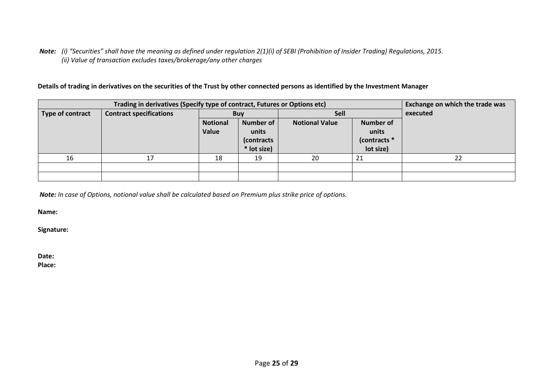*Note: (i) "Securities" shall have the meaning as defined under regulation 2(1)(i) of SEBI (Prohibition of Insider Trading) Regulations, 2015. (ii) Value of transaction excludes taxes/brokerage/any other charges* 

**Details of trading in derivatives on the securities of the Trust by other connected persons as identified by the Investment Manager** 

|                  | Trading in derivatives (Specify type of contract, Futures or Options etc) |                 |             |                       |                  | Exchange on which the trade was |
|------------------|---------------------------------------------------------------------------|-----------------|-------------|-----------------------|------------------|---------------------------------|
| Type of contract | <b>Contract specifications</b>                                            |                 | <b>Buy</b>  | <b>Sell</b>           |                  | executed                        |
|                  |                                                                           | <b>Notional</b> | Number of   | <b>Notional Value</b> | <b>Number of</b> |                                 |
|                  |                                                                           | Value           | units       |                       | units            |                                 |
|                  |                                                                           |                 | (contracts  |                       | (contracts *     |                                 |
|                  |                                                                           |                 | * lot size) |                       | lot size)        |                                 |
| 16               |                                                                           | 18              | 19          | 20                    | 21               | 22                              |
|                  |                                                                           |                 |             |                       |                  |                                 |
|                  |                                                                           |                 |             |                       |                  |                                 |

*Note: In case of Options, notional value shall be calculated based on Premium plus strike price of options.* 

**Name:** 

**Signature:** 

**Date: Place:**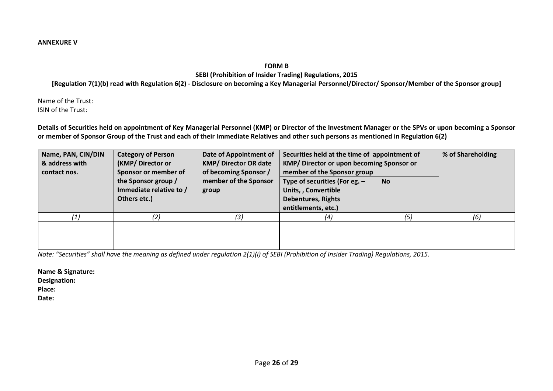#### **ANNEXURE V**

**FORM B** 

**SEBI (Prohibition of Insider Trading) Regulations, 2015**

**[Regulation 7(1)(b) read with Regulation 6(2) - Disclosure on becoming a Key Managerial Personnel/Director/ Sponsor/Member of the Sponsor group]**

Name of the Trust: ISIN of the Trust:

**Details of Securities held on appointment of Key Managerial Personnel (KMP) or Director of the Investment Manager or the SPVs or upon becoming a Sponsor or member of Sponsor Group of the Trust and each of their Immediate Relatives and other such persons as mentioned in Regulation 6(2)**

| Name, PAN, CIN/DIN<br>& address with<br>contact nos. | <b>Category of Person</b><br>(KMP/ Director or<br>Sponsor or member of<br>the Sponsor group /<br>Immediate relative to / | Date of Appointment of<br><b>KMP/ Director OR date</b><br>of becoming Sponsor /<br>member of the Sponsor | Securities held at the time of appointment of<br>KMP/ Director or upon becoming Sponsor or<br>member of the Sponsor group<br>Type of securities (For eg. $-$<br>Units, , Convertible | <b>No</b> | % of Shareholding |
|------------------------------------------------------|--------------------------------------------------------------------------------------------------------------------------|----------------------------------------------------------------------------------------------------------|--------------------------------------------------------------------------------------------------------------------------------------------------------------------------------------|-----------|-------------------|
|                                                      | Others etc.)                                                                                                             | group                                                                                                    | <b>Debentures, Rights</b>                                                                                                                                                            |           |                   |
|                                                      |                                                                                                                          |                                                                                                          | entitlements, etc.)                                                                                                                                                                  |           |                   |
| ′1)                                                  | (2)                                                                                                                      | (3)                                                                                                      | (4)                                                                                                                                                                                  | (5)       | (6)               |
|                                                      |                                                                                                                          |                                                                                                          |                                                                                                                                                                                      |           |                   |
|                                                      |                                                                                                                          |                                                                                                          |                                                                                                                                                                                      |           |                   |
|                                                      |                                                                                                                          |                                                                                                          |                                                                                                                                                                                      |           |                   |

*Note: "Securities" shall have the meaning as defined under regulation 2(1)(i) of SEBI (Prohibition of Insider Trading) Regulations, 2015.* 

**Name & Signature:** 

**Designation:** 

**Place:** 

**Date:**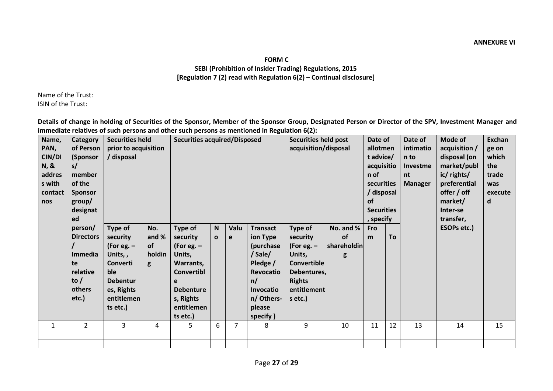# **FORM C SEBI (Prohibition of Insider Trading) Regulations, 2015 [Regulation 7 (2) read with Regulation 6(2) – Continual disclosure]**

Name of the Trust: ISIN of the Trust:

**Details of change in holding of Securities of the Sponsor, Member of the Sponsor Group, Designated Person or Director of the SPV, Investment Manager and immediate relatives of such persons and other such persons as mentioned in Regulation 6(2):**

| Name,<br>PAN,<br>CIN/DI<br><b>N, &amp;</b><br>addres<br>s with<br>contact<br>nos | Category<br>of Person<br>(Sponsor<br>s/<br>member<br>of the<br><b>Sponsor</b><br>group/<br>designat<br>ed | <b>Securities held</b><br>prior to acquisition<br>/ disposal                                                                 |                                          | <b>Securities acquired/Disposed</b>                                                                                                             |                              |                |                                                                                                                                            | <b>Securities held post</b><br>acquisition/disposal                                                                           |                                     | Date of<br>allotmen<br>t advice/<br>acquisitio<br>n of<br>securities<br>/ disposal<br><b>of</b><br><b>Securities</b><br>, specify |           | Date of<br>intimatio<br>n to<br>Investme<br>nt<br><b>Manager</b> | Mode of<br>acquisition /<br>disposal (on<br>market/publ<br>ic/ rights/<br>preferential<br>offer / off<br>market/<br>Inter-se<br>transfer, | <b>Exchan</b><br>ge on<br>which<br>the<br>trade<br>was<br>execute<br>d |
|----------------------------------------------------------------------------------|-----------------------------------------------------------------------------------------------------------|------------------------------------------------------------------------------------------------------------------------------|------------------------------------------|-------------------------------------------------------------------------------------------------------------------------------------------------|------------------------------|----------------|--------------------------------------------------------------------------------------------------------------------------------------------|-------------------------------------------------------------------------------------------------------------------------------|-------------------------------------|-----------------------------------------------------------------------------------------------------------------------------------|-----------|------------------------------------------------------------------|-------------------------------------------------------------------------------------------------------------------------------------------|------------------------------------------------------------------------|
|                                                                                  | person/<br><b>Directors</b><br>Immedia<br>te<br>relative<br>to $/$<br>others<br>etc.)                     | Type of<br>security<br>(For eg. $-$<br>Units,,<br>Converti<br>ble<br><b>Debentur</b><br>es, Rights<br>entitlemen<br>ts etc.) | No.<br>and %<br><b>of</b><br>holdin<br>g | Type of<br>security<br>(For eg. $-$<br>Units,<br>Warrants,<br><b>Convertibl</b><br>e<br><b>Debenture</b><br>s, Rights<br>entitlemen<br>ts etc.) | $\mathsf{N}$<br>$\mathbf{o}$ | Valu<br>e      | <b>Transact</b><br>ion Type<br>(purchase<br>/ Sale/<br>Pledge /<br><b>Revocatio</b><br>n/<br>Invocatio<br>n/ Others-<br>please<br>specify) | Type of<br>security<br>(For eg. $-$<br>Units,<br><b>Convertible</b><br>Debentures,<br><b>Rights</b><br>entitlement<br>s etc.) | No. and %<br>of<br>shareholdin<br>g | <b>Fro</b><br>m                                                                                                                   | <b>To</b> |                                                                  | ESOPs etc.)                                                                                                                               |                                                                        |
| $\mathbf{1}$                                                                     | $\overline{2}$                                                                                            | 3                                                                                                                            | 4                                        | 5                                                                                                                                               | 6                            | $\overline{7}$ | 8                                                                                                                                          | 9                                                                                                                             | 10                                  | 11                                                                                                                                | 12        | 13                                                               | 14                                                                                                                                        | 15                                                                     |
|                                                                                  |                                                                                                           |                                                                                                                              |                                          |                                                                                                                                                 |                              |                |                                                                                                                                            |                                                                                                                               |                                     |                                                                                                                                   |           |                                                                  |                                                                                                                                           |                                                                        |
|                                                                                  |                                                                                                           |                                                                                                                              |                                          |                                                                                                                                                 |                              |                |                                                                                                                                            |                                                                                                                               |                                     |                                                                                                                                   |           |                                                                  |                                                                                                                                           |                                                                        |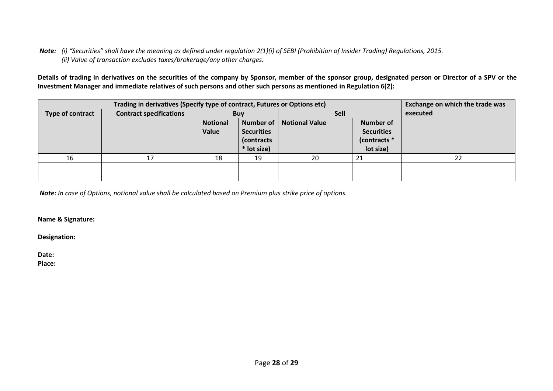*Note: (i) "Securities" shall have the meaning as defined under regulation 2(1)(i) of SEBI (Prohibition of Insider Trading) Regulations, 2015. (ii) Value of transaction excludes taxes/brokerage/any other charges.*

**Details of trading in derivatives on the securities of the company by Sponsor, member of the sponsor group, designated person or Director of a SPV or the Investment Manager and immediate relatives of such persons and other such persons as mentioned in Regulation 6(2):**

|                  | Trading in derivatives (Specify type of contract, Futures or Options etc) |                 |                   |                       |                   | Exchange on which the trade was |
|------------------|---------------------------------------------------------------------------|-----------------|-------------------|-----------------------|-------------------|---------------------------------|
| Type of contract | <b>Contract specifications</b>                                            |                 | <b>Buy</b>        |                       | <b>Sell</b>       | executed                        |
|                  |                                                                           | <b>Notional</b> | Number of         | <b>Notional Value</b> | <b>Number of</b>  |                                 |
|                  |                                                                           | Value           | <b>Securities</b> |                       | <b>Securities</b> |                                 |
|                  |                                                                           |                 | (contracts        |                       | (contracts *      |                                 |
|                  |                                                                           |                 | * lot size)       |                       | lot size)         |                                 |
| 16               |                                                                           | 18              | 19                | 20                    | 21                | 22                              |
|                  |                                                                           |                 |                   |                       |                   |                                 |
|                  |                                                                           |                 |                   |                       |                   |                                 |

*Note: In case of Options, notional value shall be calculated based on Premium plus strike price of options.* 

**Name & Signature:** 

**Designation:**

**Date:**

**Place:**